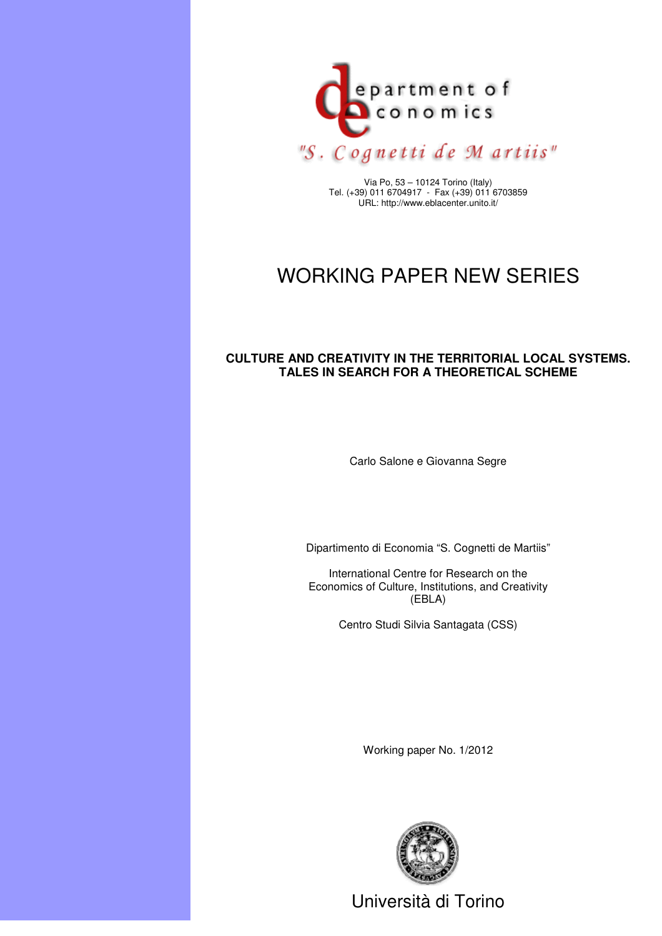

Via Po, 53 – 10124 Torino (Italy) Tel. (+39) 011 6704917 - Fax (+39) 011 6703859 URL: http://www.eblacenter.unito.it/

# WORKING PAPER NEW SERIES

# **CULTURE AND CREATIVITY IN THE TERRITORIAL LOCAL SYSTEMS. TALES IN SEARCH FOR A THEORETICAL SCHEME**

Carlo Salone e Giovanna Segre

Dipartimento di Economia "S. Cognetti de Martiis"

International Centre for Research on the Economics of Culture, Institutions, and Creativity (EBLA)

Centro Studi Silvia Santagata (CSS)

Working paper No. 1/2012



Università di Torino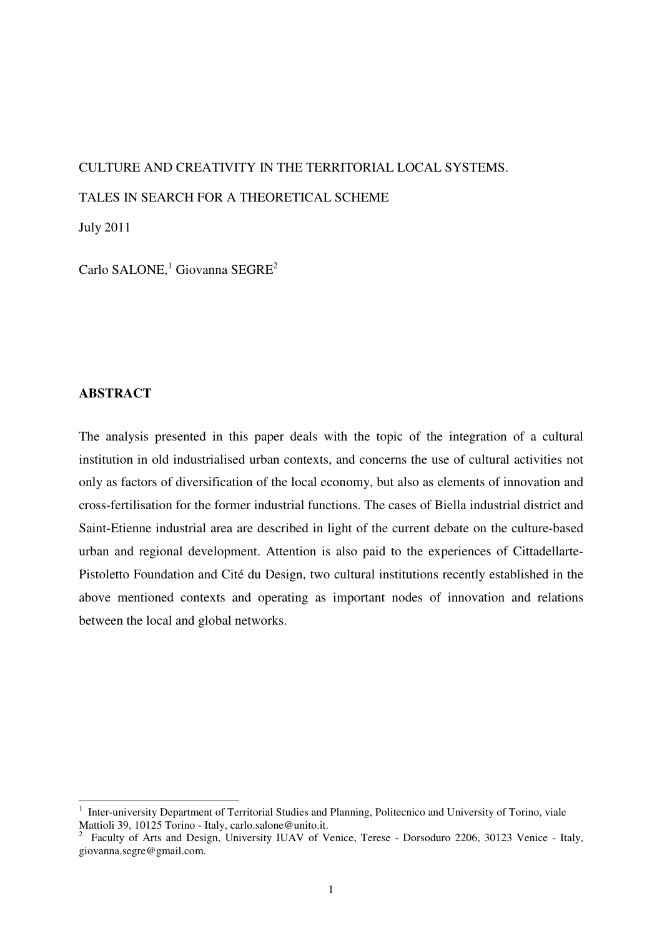# CULTURE AND CREATIVITY IN THE TERRITORIAL LOCAL SYSTEMS. TALES IN SEARCH FOR A THEORETICAL SCHEME

July 2011

Carlo SALONE,<sup>1</sup> Giovanna SEGRE<sup>2</sup>

# **ABSTRACT**

 $\overline{a}$ 

The analysis presented in this paper deals with the topic of the integration of a cultural institution in old industrialised urban contexts, and concerns the use of cultural activities not only as factors of diversification of the local economy, but also as elements of innovation and cross-fertilisation for the former industrial functions. The cases of Biella industrial district and Saint-Etienne industrial area are described in light of the current debate on the culture-based urban and regional development. Attention is also paid to the experiences of Cittadellarte-Pistoletto Foundation and Cité du Design, two cultural institutions recently established in the above mentioned contexts and operating as important nodes of innovation and relations between the local and global networks.

<sup>1</sup> Inter-university Department of Territorial Studies and Planning, Politecnico and University of Torino, viale Mattioli 39, 10125 Torino - Italy, carlo.salone@unito.it.

<sup>2</sup> Faculty of Arts and Design, University IUAV of Venice, Terese - Dorsoduro 2206, 30123 Venice - Italy, giovanna.segre@gmail.com.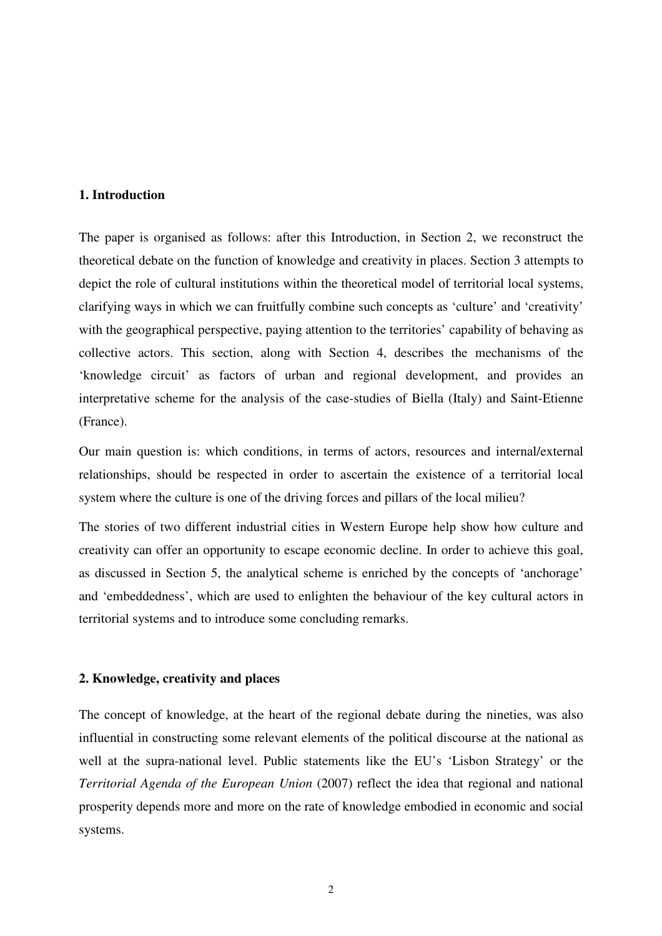# **1. Introduction**

The paper is organised as follows: after this Introduction, in Section 2, we reconstruct the theoretical debate on the function of knowledge and creativity in places. Section 3 attempts to depict the role of cultural institutions within the theoretical model of territorial local systems, clarifying ways in which we can fruitfully combine such concepts as 'culture' and 'creativity' with the geographical perspective, paying attention to the territories' capability of behaving as collective actors. This section, along with Section 4, describes the mechanisms of the 'knowledge circuit' as factors of urban and regional development, and provides an interpretative scheme for the analysis of the case-studies of Biella (Italy) and Saint-Etienne (France).

Our main question is: which conditions, in terms of actors, resources and internal/external relationships, should be respected in order to ascertain the existence of a territorial local system where the culture is one of the driving forces and pillars of the local milieu?

The stories of two different industrial cities in Western Europe help show how culture and creativity can offer an opportunity to escape economic decline. In order to achieve this goal, as discussed in Section 5, the analytical scheme is enriched by the concepts of 'anchorage' and 'embeddedness', which are used to enlighten the behaviour of the key cultural actors in territorial systems and to introduce some concluding remarks.

# **2. Knowledge, creativity and places**

The concept of knowledge, at the heart of the regional debate during the nineties, was also influential in constructing some relevant elements of the political discourse at the national as well at the supra-national level. Public statements like the EU's 'Lisbon Strategy' or the *Territorial Agenda of the European Union* (2007) reflect the idea that regional and national prosperity depends more and more on the rate of knowledge embodied in economic and social systems.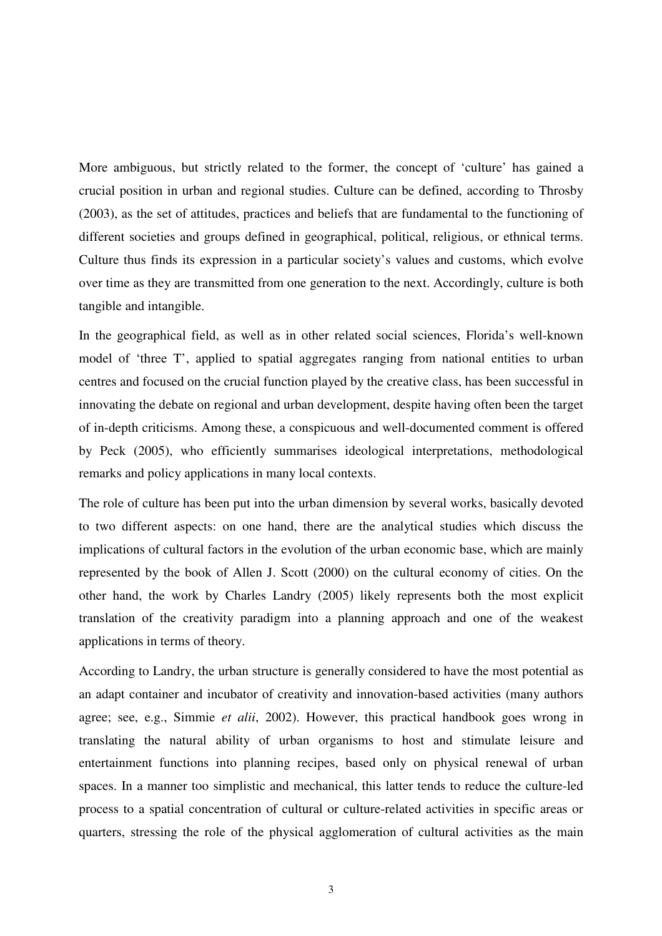More ambiguous, but strictly related to the former, the concept of 'culture' has gained a crucial position in urban and regional studies. Culture can be defined, according to Throsby (2003), as the set of attitudes, practices and beliefs that are fundamental to the functioning of different societies and groups defined in geographical, political, religious, or ethnical terms. Culture thus finds its expression in a particular society's values and customs, which evolve over time as they are transmitted from one generation to the next. Accordingly, culture is both tangible and intangible.

In the geographical field, as well as in other related social sciences, Florida's well-known model of 'three T', applied to spatial aggregates ranging from national entities to urban centres and focused on the crucial function played by the creative class, has been successful in innovating the debate on regional and urban development, despite having often been the target of in-depth criticisms. Among these, a conspicuous and well-documented comment is offered by Peck (2005), who efficiently summarises ideological interpretations, methodological remarks and policy applications in many local contexts.

The role of culture has been put into the urban dimension by several works, basically devoted to two different aspects: on one hand, there are the analytical studies which discuss the implications of cultural factors in the evolution of the urban economic base, which are mainly represented by the book of Allen J. Scott (2000) on the cultural economy of cities. On the other hand, the work by Charles Landry (2005) likely represents both the most explicit translation of the creativity paradigm into a planning approach and one of the weakest applications in terms of theory.

According to Landry, the urban structure is generally considered to have the most potential as an adapt container and incubator of creativity and innovation-based activities (many authors agree; see, e.g., Simmie *et alii*, 2002). However, this practical handbook goes wrong in translating the natural ability of urban organisms to host and stimulate leisure and entertainment functions into planning recipes, based only on physical renewal of urban spaces. In a manner too simplistic and mechanical, this latter tends to reduce the culture-led process to a spatial concentration of cultural or culture-related activities in specific areas or quarters, stressing the role of the physical agglomeration of cultural activities as the main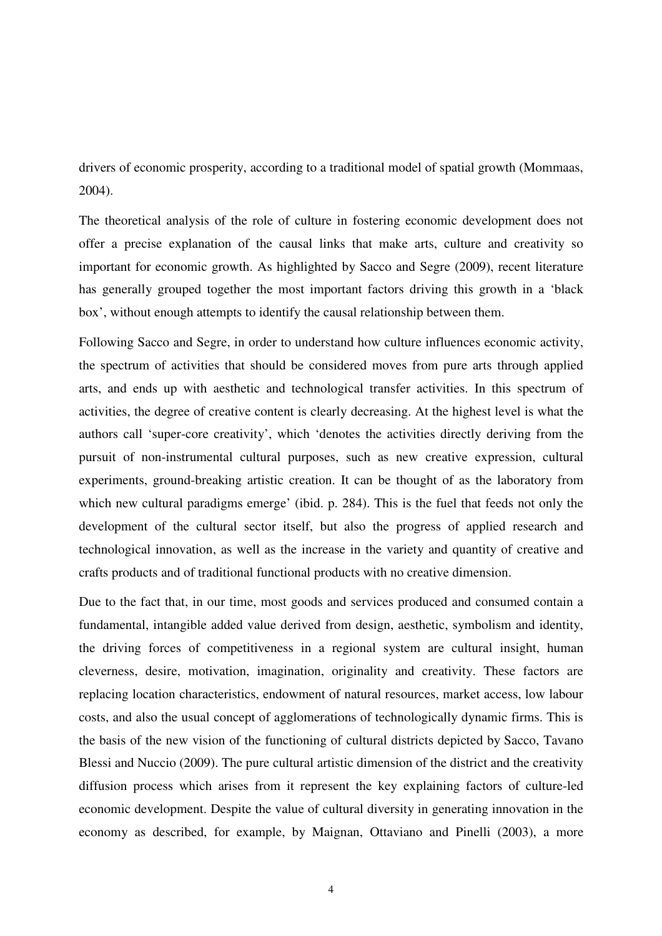drivers of economic prosperity, according to a traditional model of spatial growth (Mommaas, 2004).

The theoretical analysis of the role of culture in fostering economic development does not offer a precise explanation of the causal links that make arts, culture and creativity so important for economic growth. As highlighted by Sacco and Segre (2009), recent literature has generally grouped together the most important factors driving this growth in a 'black box', without enough attempts to identify the causal relationship between them.

Following Sacco and Segre, in order to understand how culture influences economic activity, the spectrum of activities that should be considered moves from pure arts through applied arts, and ends up with aesthetic and technological transfer activities. In this spectrum of activities, the degree of creative content is clearly decreasing. At the highest level is what the authors call 'super-core creativity', which 'denotes the activities directly deriving from the pursuit of non-instrumental cultural purposes, such as new creative expression, cultural experiments, ground-breaking artistic creation. It can be thought of as the laboratory from which new cultural paradigms emerge' (ibid. p. 284). This is the fuel that feeds not only the development of the cultural sector itself, but also the progress of applied research and technological innovation, as well as the increase in the variety and quantity of creative and crafts products and of traditional functional products with no creative dimension.

Due to the fact that, in our time, most goods and services produced and consumed contain a fundamental, intangible added value derived from design, aesthetic, symbolism and identity, the driving forces of competitiveness in a regional system are cultural insight, human cleverness, desire, motivation, imagination, originality and creativity. These factors are replacing location characteristics, endowment of natural resources, market access, low labour costs, and also the usual concept of agglomerations of technologically dynamic firms. This is the basis of the new vision of the functioning of cultural districts depicted by Sacco, Tavano Blessi and Nuccio (2009). The pure cultural artistic dimension of the district and the creativity diffusion process which arises from it represent the key explaining factors of culture-led economic development. Despite the value of cultural diversity in generating innovation in the economy as described, for example, by Maignan, Ottaviano and Pinelli (2003), a more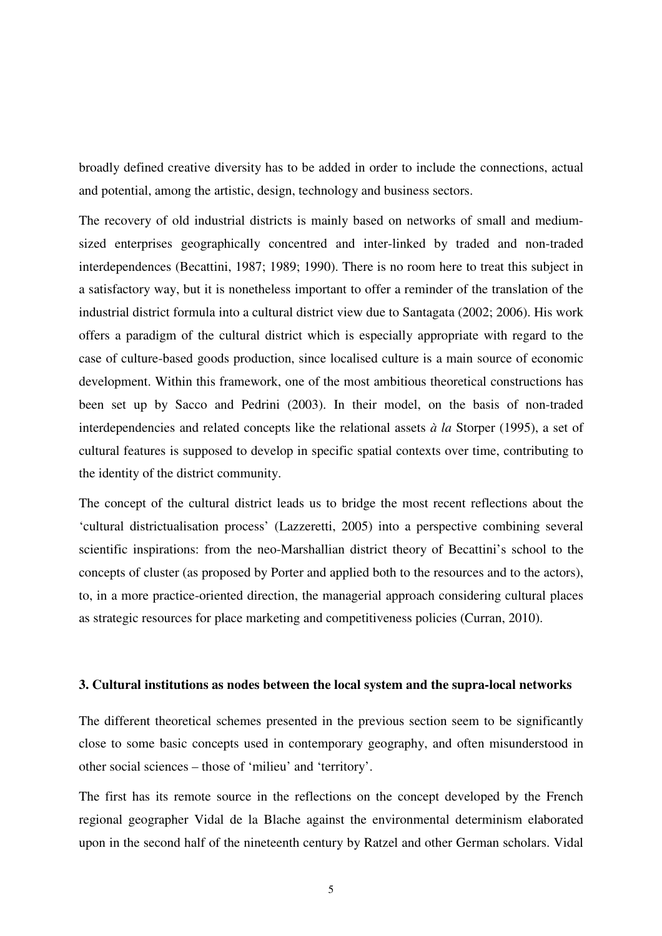broadly defined creative diversity has to be added in order to include the connections, actual and potential, among the artistic, design, technology and business sectors.

The recovery of old industrial districts is mainly based on networks of small and mediumsized enterprises geographically concentred and inter-linked by traded and non-traded interdependences (Becattini, 1987; 1989; 1990). There is no room here to treat this subject in a satisfactory way, but it is nonetheless important to offer a reminder of the translation of the industrial district formula into a cultural district view due to Santagata (2002; 2006). His work offers a paradigm of the cultural district which is especially appropriate with regard to the case of culture-based goods production, since localised culture is a main source of economic development. Within this framework, one of the most ambitious theoretical constructions has been set up by Sacco and Pedrini (2003). In their model, on the basis of non-traded interdependencies and related concepts like the relational assets *à la* Storper (1995), a set of cultural features is supposed to develop in specific spatial contexts over time, contributing to the identity of the district community.

The concept of the cultural district leads us to bridge the most recent reflections about the 'cultural districtualisation process' (Lazzeretti, 2005) into a perspective combining several scientific inspirations: from the neo-Marshallian district theory of Becattini's school to the concepts of cluster (as proposed by Porter and applied both to the resources and to the actors), to, in a more practice-oriented direction, the managerial approach considering cultural places as strategic resources for place marketing and competitiveness policies (Curran, 2010).

## **3. Cultural institutions as nodes between the local system and the supra-local networks**

The different theoretical schemes presented in the previous section seem to be significantly close to some basic concepts used in contemporary geography, and often misunderstood in other social sciences – those of 'milieu' and 'territory'.

The first has its remote source in the reflections on the concept developed by the French regional geographer Vidal de la Blache against the environmental determinism elaborated upon in the second half of the nineteenth century by Ratzel and other German scholars. Vidal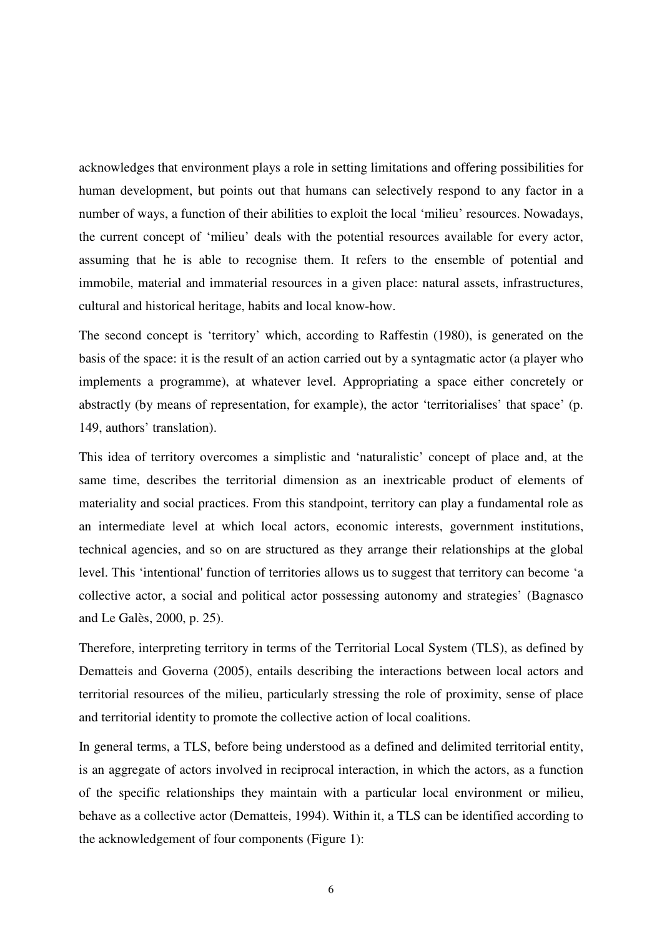acknowledges that environment plays a role in setting limitations and offering possibilities for human development, but points out that humans can selectively respond to any factor in a number of ways, a function of their abilities to exploit the local 'milieu' resources. Nowadays, the current concept of 'milieu' deals with the potential resources available for every actor, assuming that he is able to recognise them. It refers to the ensemble of potential and immobile, material and immaterial resources in a given place: natural assets, infrastructures, cultural and historical heritage, habits and local know-how.

The second concept is 'territory' which, according to Raffestin (1980), is generated on the basis of the space: it is the result of an action carried out by a syntagmatic actor (a player who implements a programme), at whatever level. Appropriating a space either concretely or abstractly (by means of representation, for example), the actor 'territorialises' that space' (p. 149, authors' translation).

This idea of territory overcomes a simplistic and 'naturalistic' concept of place and, at the same time, describes the territorial dimension as an inextricable product of elements of materiality and social practices. From this standpoint, territory can play a fundamental role as an intermediate level at which local actors, economic interests, government institutions, technical agencies, and so on are structured as they arrange their relationships at the global level. This 'intentional' function of territories allows us to suggest that territory can become 'a collective actor, a social and political actor possessing autonomy and strategies' (Bagnasco and Le Galès, 2000, p. 25).

Therefore, interpreting territory in terms of the Territorial Local System (TLS), as defined by Dematteis and Governa (2005), entails describing the interactions between local actors and territorial resources of the milieu, particularly stressing the role of proximity, sense of place and territorial identity to promote the collective action of local coalitions.

In general terms, a TLS, before being understood as a defined and delimited territorial entity, is an aggregate of actors involved in reciprocal interaction, in which the actors, as a function of the specific relationships they maintain with a particular local environment or milieu, behave as a collective actor (Dematteis, 1994). Within it, a TLS can be identified according to the acknowledgement of four components (Figure 1):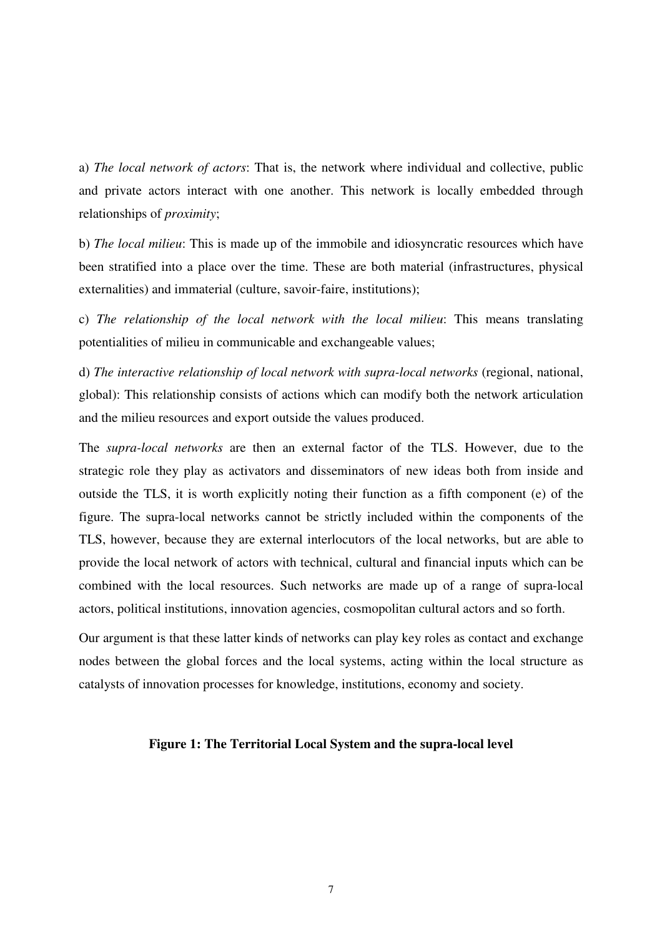a) *The local network of actors*: That is, the network where individual and collective, public and private actors interact with one another. This network is locally embedded through relationships of *proximity*;

b) *The local milieu*: This is made up of the immobile and idiosyncratic resources which have been stratified into a place over the time. These are both material (infrastructures, physical externalities) and immaterial (culture, savoir-faire, institutions);

c) *The relationship of the local network with the local milieu*: This means translating potentialities of milieu in communicable and exchangeable values;

d) *The interactive relationship of local network with supra-local networks* (regional, national, global): This relationship consists of actions which can modify both the network articulation and the milieu resources and export outside the values produced.

The *supra-local networks* are then an external factor of the TLS. However, due to the strategic role they play as activators and disseminators of new ideas both from inside and outside the TLS, it is worth explicitly noting their function as a fifth component (e) of the figure. The supra-local networks cannot be strictly included within the components of the TLS, however, because they are external interlocutors of the local networks, but are able to provide the local network of actors with technical, cultural and financial inputs which can be combined with the local resources. Such networks are made up of a range of supra-local actors, political institutions, innovation agencies, cosmopolitan cultural actors and so forth.

Our argument is that these latter kinds of networks can play key roles as contact and exchange nodes between the global forces and the local systems, acting within the local structure as catalysts of innovation processes for knowledge, institutions, economy and society.

#### **Figure 1: The Territorial Local System and the supra-local level**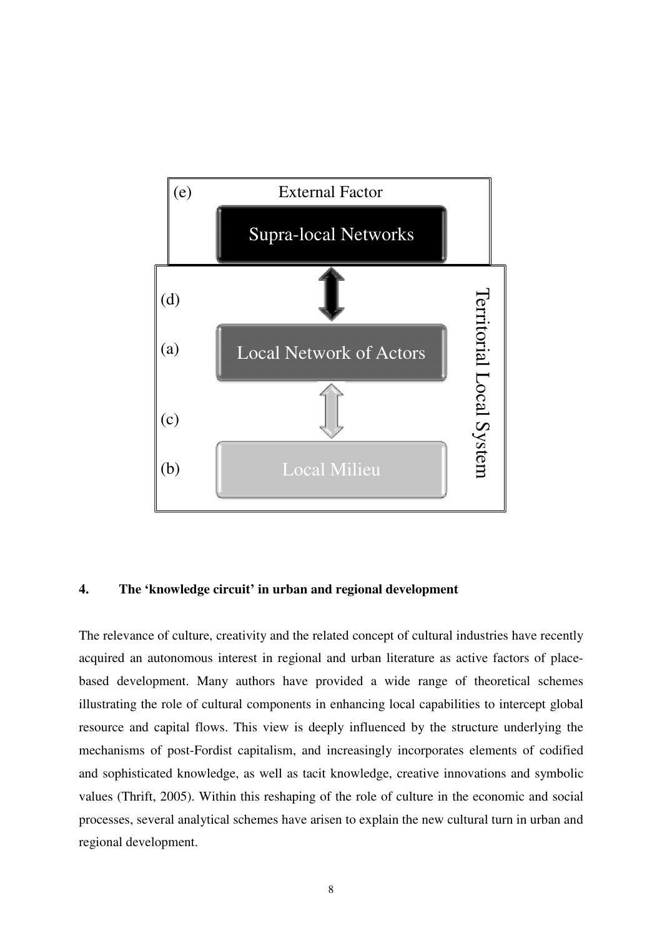

# **4. The 'knowledge circuit' in urban and regional development**

The relevance of culture, creativity and the related concept of cultural industries have recently acquired an autonomous interest in regional and urban literature as active factors of placebased development. Many authors have provided a wide range of theoretical schemes illustrating the role of cultural components in enhancing local capabilities to intercept global resource and capital flows. This view is deeply influenced by the structure underlying the mechanisms of post-Fordist capitalism, and increasingly incorporates elements of codified and sophisticated knowledge, as well as tacit knowledge, creative innovations and symbolic values (Thrift, 2005). Within this reshaping of the role of culture in the economic and social processes, several analytical schemes have arisen to explain the new cultural turn in urban and regional development.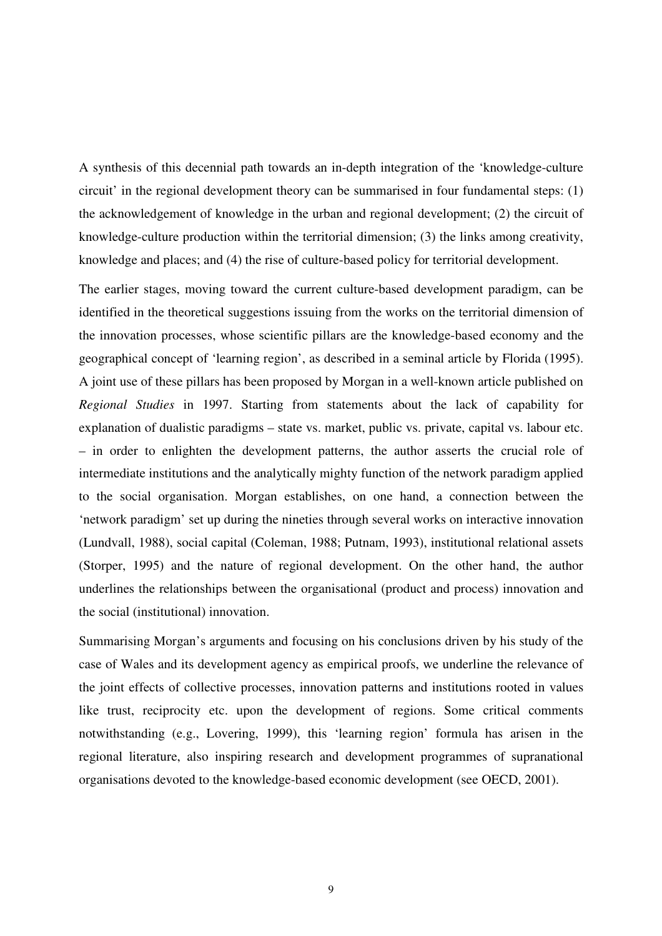A synthesis of this decennial path towards an in-depth integration of the 'knowledge-culture circuit' in the regional development theory can be summarised in four fundamental steps: (1) the acknowledgement of knowledge in the urban and regional development; (2) the circuit of knowledge-culture production within the territorial dimension; (3) the links among creativity, knowledge and places; and (4) the rise of culture-based policy for territorial development.

The earlier stages, moving toward the current culture-based development paradigm, can be identified in the theoretical suggestions issuing from the works on the territorial dimension of the innovation processes, whose scientific pillars are the knowledge-based economy and the geographical concept of 'learning region', as described in a seminal article by Florida (1995). A joint use of these pillars has been proposed by Morgan in a well-known article published on *Regional Studies* in 1997. Starting from statements about the lack of capability for explanation of dualistic paradigms – state vs. market, public vs. private, capital vs. labour etc. – in order to enlighten the development patterns, the author asserts the crucial role of intermediate institutions and the analytically mighty function of the network paradigm applied to the social organisation. Morgan establishes, on one hand, a connection between the 'network paradigm' set up during the nineties through several works on interactive innovation (Lundvall, 1988), social capital (Coleman, 1988; Putnam, 1993), institutional relational assets (Storper, 1995) and the nature of regional development. On the other hand, the author underlines the relationships between the organisational (product and process) innovation and the social (institutional) innovation.

Summarising Morgan's arguments and focusing on his conclusions driven by his study of the case of Wales and its development agency as empirical proofs, we underline the relevance of the joint effects of collective processes, innovation patterns and institutions rooted in values like trust, reciprocity etc. upon the development of regions. Some critical comments notwithstanding (e.g., Lovering, 1999), this 'learning region' formula has arisen in the regional literature, also inspiring research and development programmes of supranational organisations devoted to the knowledge-based economic development (see OECD, 2001).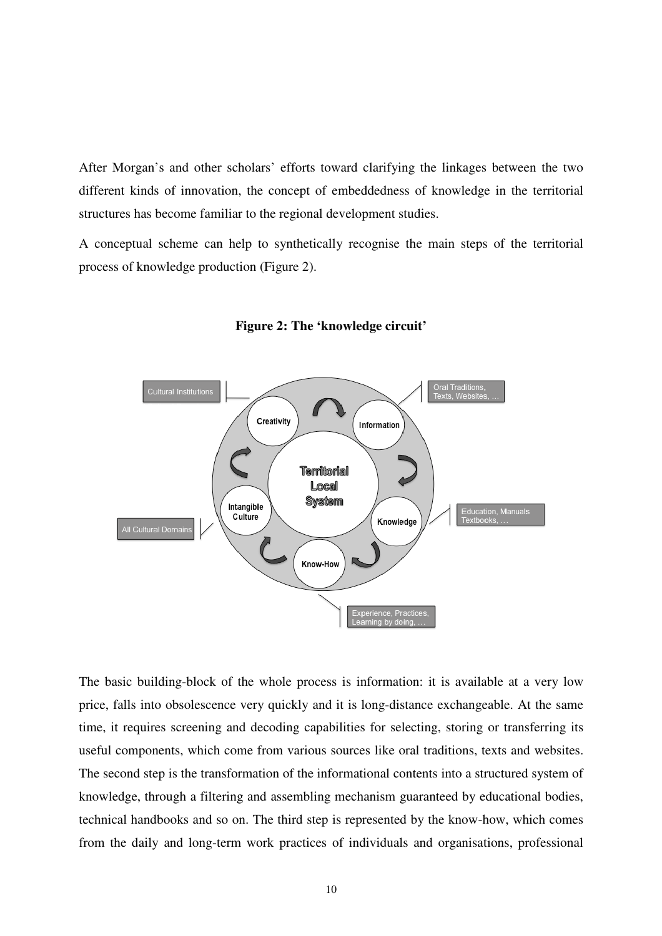After Morgan's and other scholars' efforts toward clarifying the linkages between the two different kinds of innovation, the concept of embeddedness of knowledge in the territorial structures has become familiar to the regional development studies.

A conceptual scheme can help to synthetically recognise the main steps of the territorial process of knowledge production (Figure 2).



**Figure 2: The 'knowledge circuit'** 

The basic building-block of the whole process is information: it is available at a very low price, falls into obsolescence very quickly and it is long-distance exchangeable. At the same time, it requires screening and decoding capabilities for selecting, storing or transferring its useful components, which come from various sources like oral traditions, texts and websites. The second step is the transformation of the informational contents into a structured system of knowledge, through a filtering and assembling mechanism guaranteed by educational bodies, technical handbooks and so on. The third step is represented by the know-how, which comes from the daily and long-term work practices of individuals and organisations, professional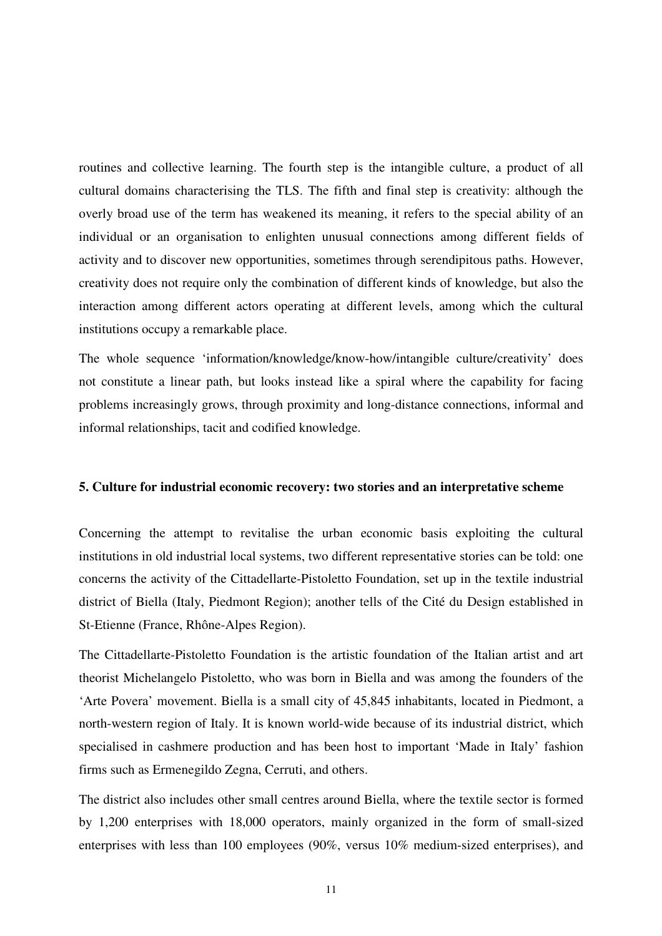routines and collective learning. The fourth step is the intangible culture, a product of all cultural domains characterising the TLS. The fifth and final step is creativity: although the overly broad use of the term has weakened its meaning, it refers to the special ability of an individual or an organisation to enlighten unusual connections among different fields of activity and to discover new opportunities, sometimes through serendipitous paths. However, creativity does not require only the combination of different kinds of knowledge, but also the interaction among different actors operating at different levels, among which the cultural institutions occupy a remarkable place.

The whole sequence 'information/knowledge/know-how/intangible culture/creativity' does not constitute a linear path, but looks instead like a spiral where the capability for facing problems increasingly grows, through proximity and long-distance connections, informal and informal relationships, tacit and codified knowledge.

#### **5. Culture for industrial economic recovery: two stories and an interpretative scheme**

Concerning the attempt to revitalise the urban economic basis exploiting the cultural institutions in old industrial local systems, two different representative stories can be told: one concerns the activity of the Cittadellarte-Pistoletto Foundation, set up in the textile industrial district of Biella (Italy, Piedmont Region); another tells of the Cité du Design established in St-Etienne (France, Rhône-Alpes Region).

The Cittadellarte-Pistoletto Foundation is the artistic foundation of the Italian artist and art theorist Michelangelo Pistoletto, who was born in Biella and was among the founders of the 'Arte Povera' movement. Biella is a small city of 45,845 inhabitants, located in Piedmont, a north-western region of Italy. It is known world-wide because of its industrial district, which specialised in cashmere production and has been host to important 'Made in Italy' fashion firms such as Ermenegildo Zegna, Cerruti, and others.

The district also includes other small centres around Biella, where the textile sector is formed by 1,200 enterprises with 18,000 operators, mainly organized in the form of small-sized enterprises with less than 100 employees (90%, versus 10% medium-sized enterprises), and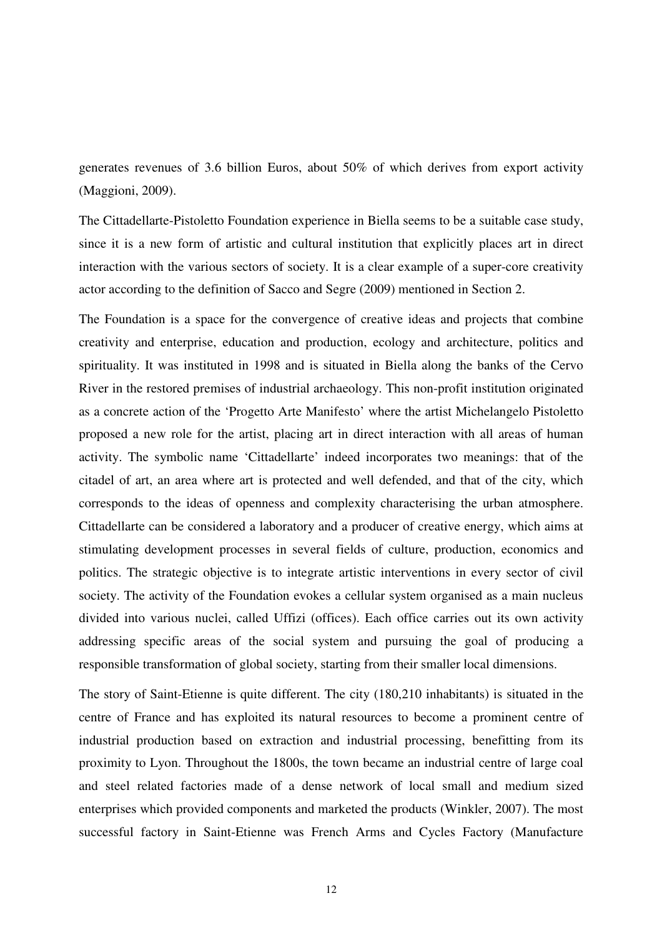generates revenues of 3.6 billion Euros, about 50% of which derives from export activity (Maggioni, 2009).

The Cittadellarte-Pistoletto Foundation experience in Biella seems to be a suitable case study, since it is a new form of artistic and cultural institution that explicitly places art in direct interaction with the various sectors of society. It is a clear example of a super-core creativity actor according to the definition of Sacco and Segre (2009) mentioned in Section 2.

The Foundation is a space for the convergence of creative ideas and projects that combine creativity and enterprise, education and production, ecology and architecture, politics and spirituality. It was instituted in 1998 and is situated in Biella along the banks of the Cervo River in the restored premises of industrial archaeology. This non-profit institution originated as a concrete action of the 'Progetto Arte Manifesto' where the artist Michelangelo Pistoletto proposed a new role for the artist, placing art in direct interaction with all areas of human activity. The symbolic name 'Cittadellarte' indeed incorporates two meanings: that of the citadel of art, an area where art is protected and well defended, and that of the city, which corresponds to the ideas of openness and complexity characterising the urban atmosphere. Cittadellarte can be considered a laboratory and a producer of creative energy, which aims at stimulating development processes in several fields of culture, production, economics and politics. The strategic objective is to integrate artistic interventions in every sector of civil society. The activity of the Foundation evokes a cellular system organised as a main nucleus divided into various nuclei, called Uffizi (offices). Each office carries out its own activity addressing specific areas of the social system and pursuing the goal of producing a responsible transformation of global society, starting from their smaller local dimensions.

The story of Saint-Etienne is quite different. The city (180,210 inhabitants) is situated in the centre of France and has exploited its natural resources to become a prominent centre of industrial production based on extraction and industrial processing, benefitting from its proximity to Lyon. Throughout the 1800s, the town became an industrial centre of large coal and steel related factories made of a dense network of local small and medium sized enterprises which provided components and marketed the products (Winkler, 2007). The most successful factory in Saint-Etienne was French Arms and Cycles Factory (Manufacture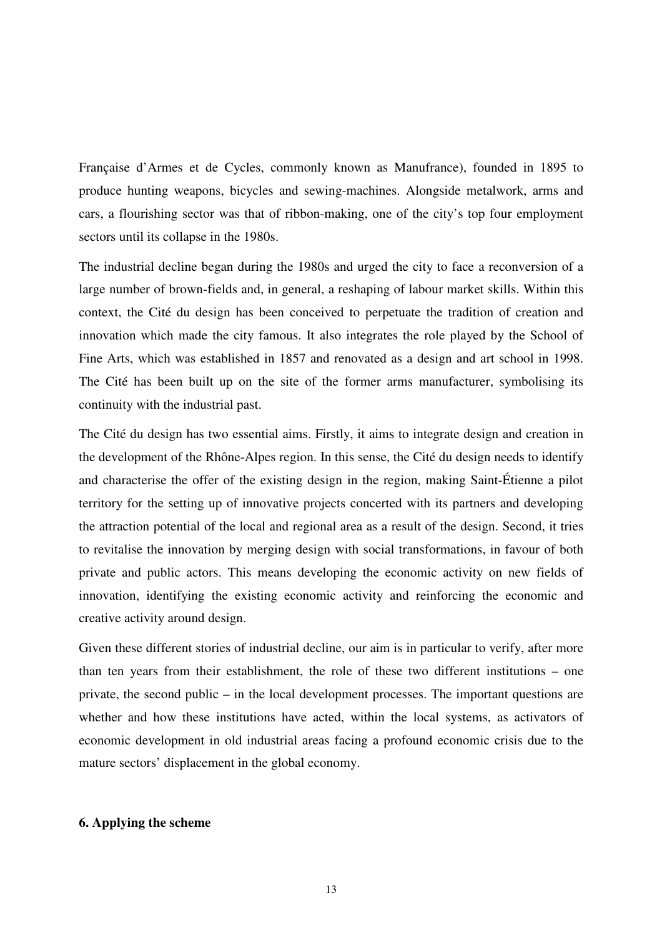Française d'Armes et de Cycles, commonly known as Manufrance), founded in 1895 to produce hunting weapons, bicycles and sewing-machines. Alongside metalwork, arms and cars, a flourishing sector was that of ribbon-making, one of the city's top four employment sectors until its collapse in the 1980s.

The industrial decline began during the 1980s and urged the city to face a reconversion of a large number of brown-fields and, in general, a reshaping of labour market skills. Within this context, the Cité du design has been conceived to perpetuate the tradition of creation and innovation which made the city famous. It also integrates the role played by the School of Fine Arts, which was established in 1857 and renovated as a design and art school in 1998. The Cité has been built up on the site of the former arms manufacturer, symbolising its continuity with the industrial past.

The Cité du design has two essential aims. Firstly, it aims to integrate design and creation in the development of the Rhône-Alpes region. In this sense, the Cité du design needs to identify and characterise the offer of the existing design in the region, making Saint-Étienne a pilot territory for the setting up of innovative projects concerted with its partners and developing the attraction potential of the local and regional area as a result of the design. Second, it tries to revitalise the innovation by merging design with social transformations, in favour of both private and public actors. This means developing the economic activity on new fields of innovation, identifying the existing economic activity and reinforcing the economic and creative activity around design.

Given these different stories of industrial decline, our aim is in particular to verify, after more than ten years from their establishment, the role of these two different institutions – one private, the second public – in the local development processes. The important questions are whether and how these institutions have acted, within the local systems, as activators of economic development in old industrial areas facing a profound economic crisis due to the mature sectors' displacement in the global economy.

# **6. Applying the scheme**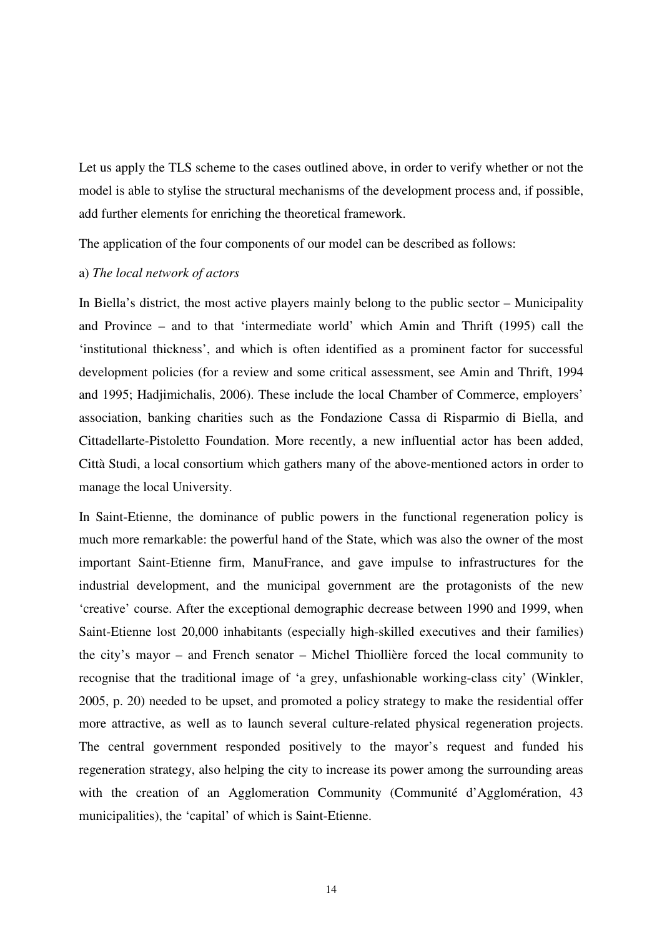Let us apply the TLS scheme to the cases outlined above, in order to verify whether or not the model is able to stylise the structural mechanisms of the development process and, if possible, add further elements for enriching the theoretical framework.

The application of the four components of our model can be described as follows:

# a) *The local network of actors*

In Biella's district, the most active players mainly belong to the public sector – Municipality and Province – and to that 'intermediate world' which Amin and Thrift (1995) call the 'institutional thickness', and which is often identified as a prominent factor for successful development policies (for a review and some critical assessment, see Amin and Thrift, 1994 and 1995; Hadjimichalis, 2006). These include the local Chamber of Commerce, employers' association, banking charities such as the Fondazione Cassa di Risparmio di Biella, and Cittadellarte-Pistoletto Foundation. More recently, a new influential actor has been added, Città Studi, a local consortium which gathers many of the above-mentioned actors in order to manage the local University.

In Saint-Etienne, the dominance of public powers in the functional regeneration policy is much more remarkable: the powerful hand of the State, which was also the owner of the most important Saint-Etienne firm, ManuFrance, and gave impulse to infrastructures for the industrial development, and the municipal government are the protagonists of the new 'creative' course. After the exceptional demographic decrease between 1990 and 1999, when Saint-Etienne lost 20,000 inhabitants (especially high-skilled executives and their families) the city's mayor – and French senator – Michel Thiollière forced the local community to recognise that the traditional image of 'a grey, unfashionable working-class city' (Winkler, 2005, p. 20) needed to be upset, and promoted a policy strategy to make the residential offer more attractive, as well as to launch several culture-related physical regeneration projects. The central government responded positively to the mayor's request and funded his regeneration strategy, also helping the city to increase its power among the surrounding areas with the creation of an Agglomeration Community (Communité d'Agglomération, 43 municipalities), the 'capital' of which is Saint-Etienne.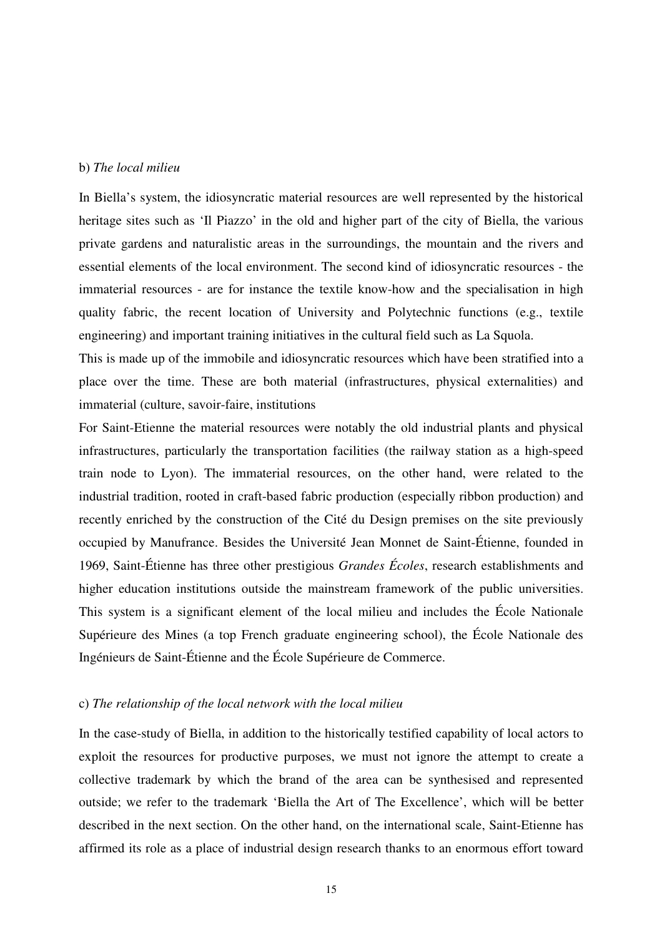## b) *The local milieu*

In Biella's system, the idiosyncratic material resources are well represented by the historical heritage sites such as 'Il Piazzo' in the old and higher part of the city of Biella, the various private gardens and naturalistic areas in the surroundings, the mountain and the rivers and essential elements of the local environment. The second kind of idiosyncratic resources - the immaterial resources - are for instance the textile know-how and the specialisation in high quality fabric, the recent location of University and Polytechnic functions (e.g., textile engineering) and important training initiatives in the cultural field such as La Squola.

This is made up of the immobile and idiosyncratic resources which have been stratified into a place over the time. These are both material (infrastructures, physical externalities) and immaterial (culture, savoir-faire, institutions

For Saint-Etienne the material resources were notably the old industrial plants and physical infrastructures, particularly the transportation facilities (the railway station as a high-speed train node to Lyon). The immaterial resources, on the other hand, were related to the industrial tradition, rooted in craft-based fabric production (especially ribbon production) and recently enriched by the construction of the Cité du Design premises on the site previously occupied by Manufrance. Besides the Université Jean Monnet de Saint-Étienne, founded in 1969, Saint-Étienne has three other prestigious *Grandes Écoles*, research establishments and higher education institutions outside the mainstream framework of the public universities. This system is a significant element of the local milieu and includes the École Nationale Supérieure des Mines (a top French graduate engineering school), the École Nationale des Ingénieurs de Saint-Étienne and the École Supérieure de Commerce.

## c) *The relationship of the local network with the local milieu*

In the case-study of Biella, in addition to the historically testified capability of local actors to exploit the resources for productive purposes, we must not ignore the attempt to create a collective trademark by which the brand of the area can be synthesised and represented outside; we refer to the trademark 'Biella the Art of The Excellence', which will be better described in the next section. On the other hand, on the international scale, Saint-Etienne has affirmed its role as a place of industrial design research thanks to an enormous effort toward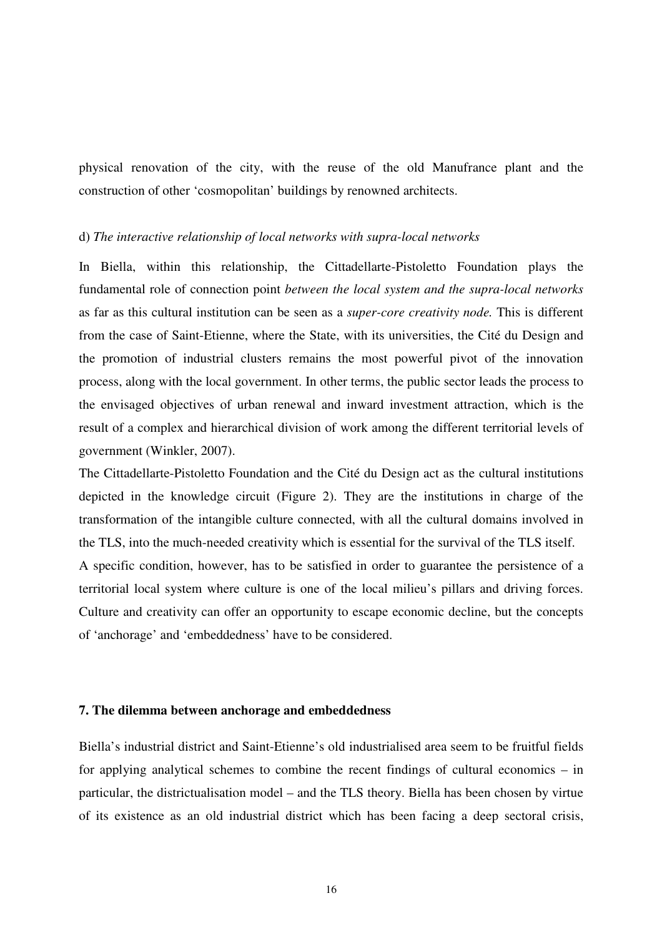physical renovation of the city, with the reuse of the old Manufrance plant and the construction of other 'cosmopolitan' buildings by renowned architects.

#### d) *The interactive relationship of local networks with supra-local networks*

In Biella, within this relationship, the Cittadellarte-Pistoletto Foundation plays the fundamental role of connection point *between the local system and the supra-local networks*  as far as this cultural institution can be seen as a *super-core creativity node.* This is different from the case of Saint-Etienne, where the State, with its universities, the Cité du Design and the promotion of industrial clusters remains the most powerful pivot of the innovation process, along with the local government. In other terms, the public sector leads the process to the envisaged objectives of urban renewal and inward investment attraction, which is the result of a complex and hierarchical division of work among the different territorial levels of government (Winkler, 2007).

The Cittadellarte-Pistoletto Foundation and the Cité du Design act as the cultural institutions depicted in the knowledge circuit (Figure 2). They are the institutions in charge of the transformation of the intangible culture connected, with all the cultural domains involved in the TLS, into the much-needed creativity which is essential for the survival of the TLS itself. A specific condition, however, has to be satisfied in order to guarantee the persistence of a territorial local system where culture is one of the local milieu's pillars and driving forces. Culture and creativity can offer an opportunity to escape economic decline, but the concepts of 'anchorage' and 'embeddedness' have to be considered.

# **7. The dilemma between anchorage and embeddedness**

Biella's industrial district and Saint-Etienne's old industrialised area seem to be fruitful fields for applying analytical schemes to combine the recent findings of cultural economics – in particular, the districtualisation model – and the TLS theory. Biella has been chosen by virtue of its existence as an old industrial district which has been facing a deep sectoral crisis,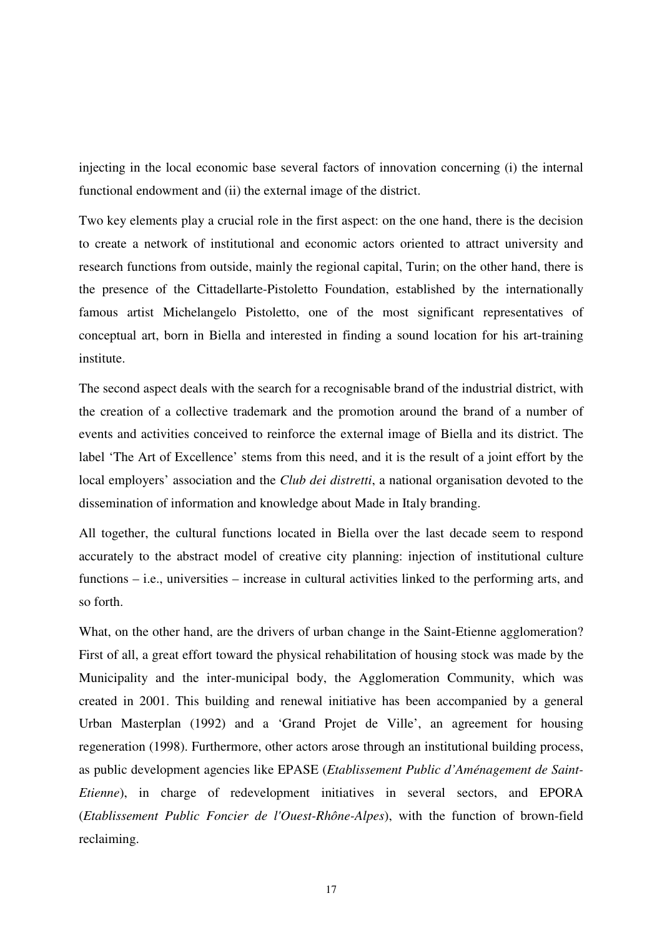injecting in the local economic base several factors of innovation concerning (i) the internal functional endowment and (ii) the external image of the district.

Two key elements play a crucial role in the first aspect: on the one hand, there is the decision to create a network of institutional and economic actors oriented to attract university and research functions from outside, mainly the regional capital, Turin; on the other hand, there is the presence of the Cittadellarte-Pistoletto Foundation, established by the internationally famous artist Michelangelo Pistoletto, one of the most significant representatives of conceptual art, born in Biella and interested in finding a sound location for his art-training institute.

The second aspect deals with the search for a recognisable brand of the industrial district, with the creation of a collective trademark and the promotion around the brand of a number of events and activities conceived to reinforce the external image of Biella and its district. The label 'The Art of Excellence' stems from this need, and it is the result of a joint effort by the local employers' association and the *Club dei distretti*, a national organisation devoted to the dissemination of information and knowledge about Made in Italy branding.

All together, the cultural functions located in Biella over the last decade seem to respond accurately to the abstract model of creative city planning: injection of institutional culture functions – i.e., universities – increase in cultural activities linked to the performing arts, and so forth.

What, on the other hand, are the drivers of urban change in the Saint-Etienne agglomeration? First of all, a great effort toward the physical rehabilitation of housing stock was made by the Municipality and the inter-municipal body, the Agglomeration Community, which was created in 2001. This building and renewal initiative has been accompanied by a general Urban Masterplan (1992) and a 'Grand Projet de Ville', an agreement for housing regeneration (1998). Furthermore, other actors arose through an institutional building process, as public development agencies like EPASE (*Etablissement Public d'Aménagement de Saint-Etienne*), in charge of redevelopment initiatives in several sectors, and EPORA (*Etablissement Public Foncier de l'Ouest-Rhône-Alpes*), with the function of brown-field reclaiming.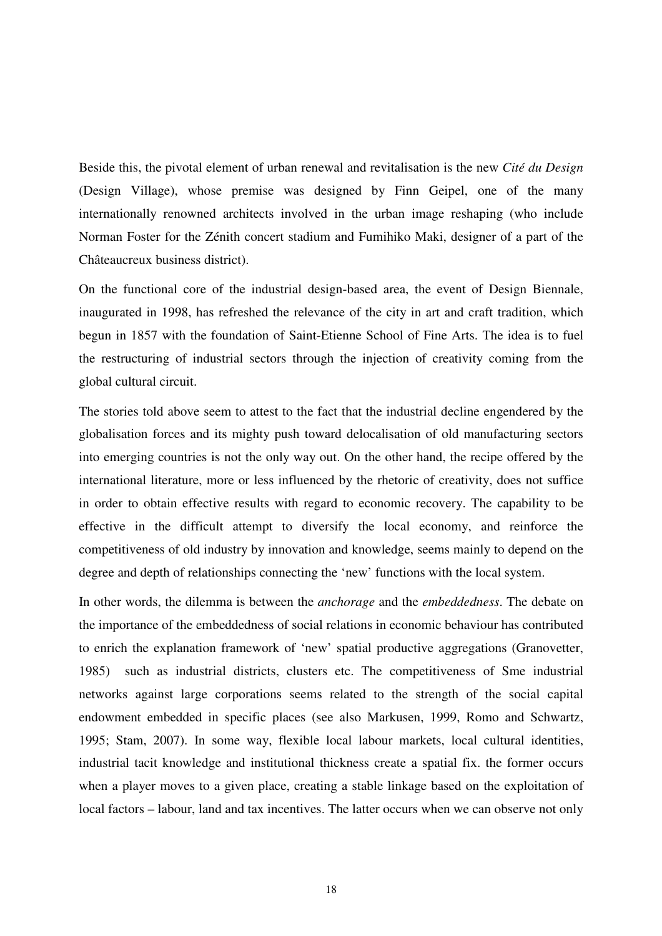Beside this, the pivotal element of urban renewal and revitalisation is the new *Cité du Design*  (Design Village), whose premise was designed by Finn Geipel, one of the many internationally renowned architects involved in the urban image reshaping (who include Norman Foster for the Zénith concert stadium and Fumihiko Maki, designer of a part of the Châteaucreux business district).

On the functional core of the industrial design-based area, the event of Design Biennale, inaugurated in 1998, has refreshed the relevance of the city in art and craft tradition, which begun in 1857 with the foundation of Saint-Etienne School of Fine Arts. The idea is to fuel the restructuring of industrial sectors through the injection of creativity coming from the global cultural circuit.

The stories told above seem to attest to the fact that the industrial decline engendered by the globalisation forces and its mighty push toward delocalisation of old manufacturing sectors into emerging countries is not the only way out. On the other hand, the recipe offered by the international literature, more or less influenced by the rhetoric of creativity, does not suffice in order to obtain effective results with regard to economic recovery. The capability to be effective in the difficult attempt to diversify the local economy, and reinforce the competitiveness of old industry by innovation and knowledge, seems mainly to depend on the degree and depth of relationships connecting the 'new' functions with the local system.

In other words, the dilemma is between the *anchorage* and the *embeddedness*. The debate on the importance of the embeddedness of social relations in economic behaviour has contributed to enrich the explanation framework of 'new' spatial productive aggregations (Granovetter, 1985) such as industrial districts, clusters etc. The competitiveness of Sme industrial networks against large corporations seems related to the strength of the social capital endowment embedded in specific places (see also Markusen, 1999, Romo and Schwartz, 1995; Stam, 2007). In some way, flexible local labour markets, local cultural identities, industrial tacit knowledge and institutional thickness create a spatial fix. the former occurs when a player moves to a given place, creating a stable linkage based on the exploitation of local factors – labour, land and tax incentives. The latter occurs when we can observe not only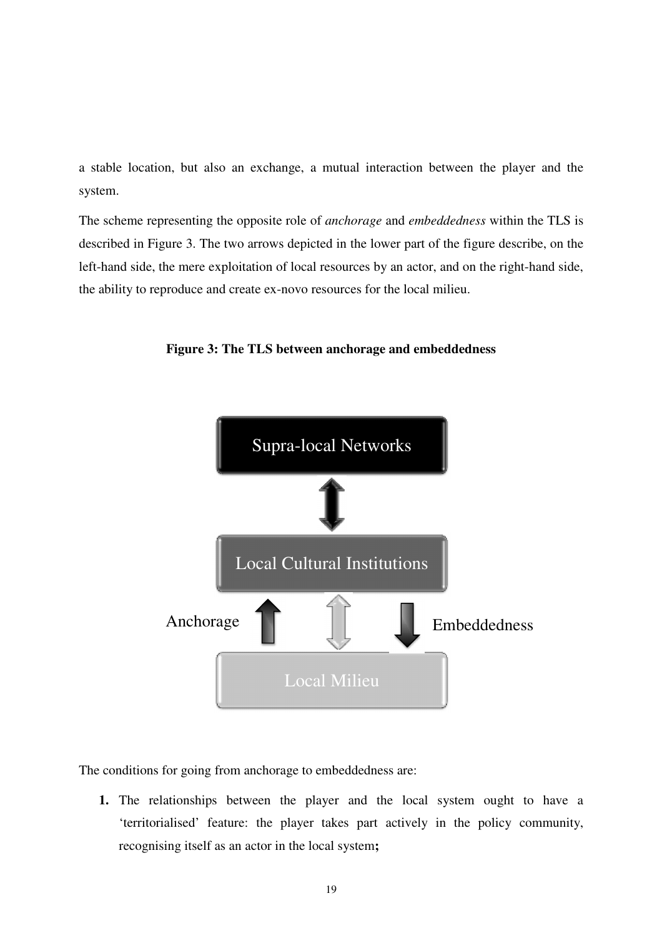a stable location, but also an exchange, a mutual interaction between the player and the system.

The scheme representing the opposite role of *anchorage* and *embeddedness* within the TLS is described in Figure 3. The two arrows depicted in the lower part of the figure describe, on the left-hand side, the mere exploitation of local resources by an actor, and on the right-hand side, the ability to reproduce and create ex-novo resources for the local milieu.



**Figure 3: The TLS between anchorage and embeddedness** 

The conditions for going from anchorage to embeddedness are:

**1.** The relationships between the player and the local system ought to have a 'territorialised' feature: the player takes part actively in the policy community, recognising itself as an actor in the local system**;**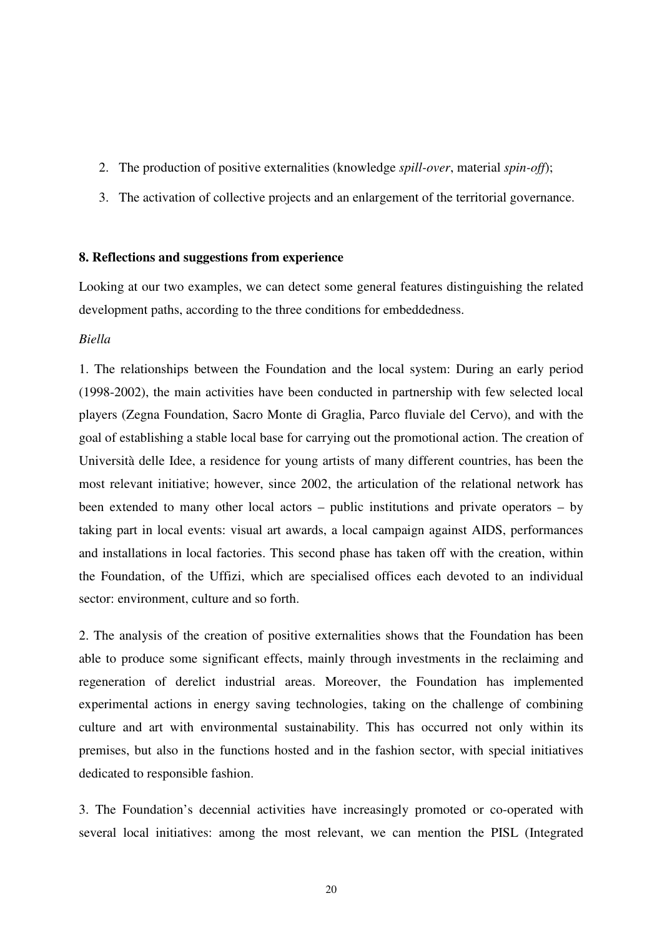- 2. The production of positive externalities (knowledge *spill-over*, material *spin-off*);
- 3. The activation of collective projects and an enlargement of the territorial governance.

# **8. Reflections and suggestions from experience**

Looking at our two examples, we can detect some general features distinguishing the related development paths, according to the three conditions for embeddedness.

# *Biella*

1. The relationships between the Foundation and the local system: During an early period (1998-2002), the main activities have been conducted in partnership with few selected local players (Zegna Foundation, Sacro Monte di Graglia, Parco fluviale del Cervo), and with the goal of establishing a stable local base for carrying out the promotional action. The creation of Università delle Idee, a residence for young artists of many different countries, has been the most relevant initiative; however, since 2002, the articulation of the relational network has been extended to many other local actors – public institutions and private operators – by taking part in local events: visual art awards, a local campaign against AIDS, performances and installations in local factories. This second phase has taken off with the creation, within the Foundation, of the Uffizi, which are specialised offices each devoted to an individual sector: environment, culture and so forth.

2. The analysis of the creation of positive externalities shows that the Foundation has been able to produce some significant effects, mainly through investments in the reclaiming and regeneration of derelict industrial areas. Moreover, the Foundation has implemented experimental actions in energy saving technologies, taking on the challenge of combining culture and art with environmental sustainability. This has occurred not only within its premises, but also in the functions hosted and in the fashion sector, with special initiatives dedicated to responsible fashion.

3. The Foundation's decennial activities have increasingly promoted or co-operated with several local initiatives: among the most relevant, we can mention the PISL (Integrated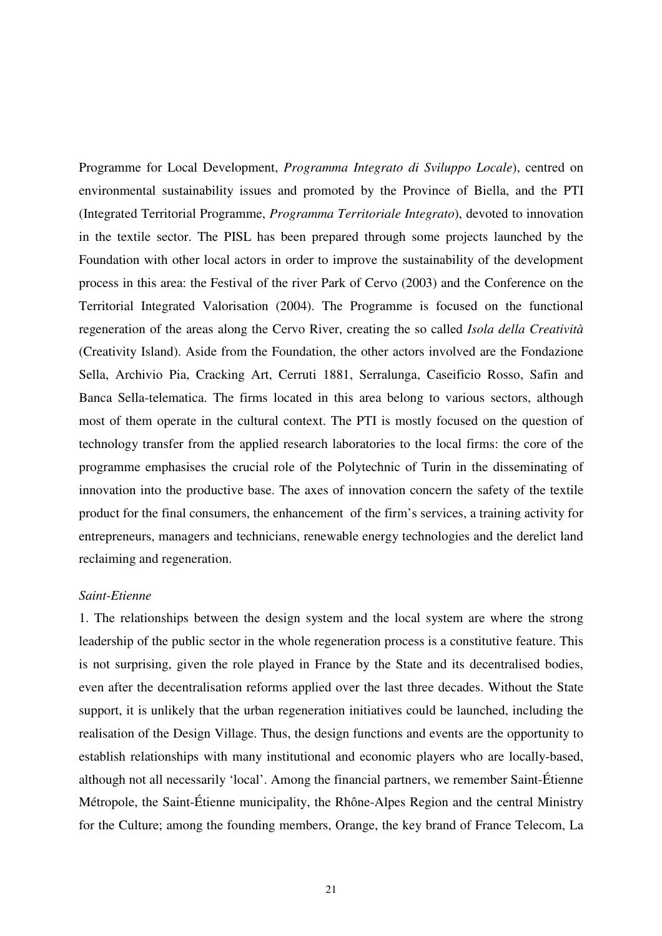Programme for Local Development, *Programma Integrato di Sviluppo Locale*), centred on environmental sustainability issues and promoted by the Province of Biella, and the PTI (Integrated Territorial Programme, *Programma Territoriale Integrato*), devoted to innovation in the textile sector. The PISL has been prepared through some projects launched by the Foundation with other local actors in order to improve the sustainability of the development process in this area: the Festival of the river Park of Cervo (2003) and the Conference on the Territorial Integrated Valorisation (2004). The Programme is focused on the functional regeneration of the areas along the Cervo River, creating the so called *Isola della Creatività* (Creativity Island). Aside from the Foundation, the other actors involved are the Fondazione Sella, Archivio Pia, Cracking Art, Cerruti 1881, Serralunga, Caseificio Rosso, Safin and Banca Sella-telematica. The firms located in this area belong to various sectors, although most of them operate in the cultural context. The PTI is mostly focused on the question of technology transfer from the applied research laboratories to the local firms: the core of the programme emphasises the crucial role of the Polytechnic of Turin in the disseminating of innovation into the productive base. The axes of innovation concern the safety of the textile product for the final consumers, the enhancement of the firm's services, a training activity for entrepreneurs, managers and technicians, renewable energy technologies and the derelict land reclaiming and regeneration.

#### *Saint-Etienne*

1. The relationships between the design system and the local system are where the strong leadership of the public sector in the whole regeneration process is a constitutive feature. This is not surprising, given the role played in France by the State and its decentralised bodies, even after the decentralisation reforms applied over the last three decades. Without the State support, it is unlikely that the urban regeneration initiatives could be launched, including the realisation of the Design Village. Thus, the design functions and events are the opportunity to establish relationships with many institutional and economic players who are locally-based, although not all necessarily 'local'. Among the financial partners, we remember Saint-Étienne Métropole, the Saint-Étienne municipality, the Rhône-Alpes Region and the central Ministry for the Culture; among the founding members, Orange, the key brand of France Telecom, La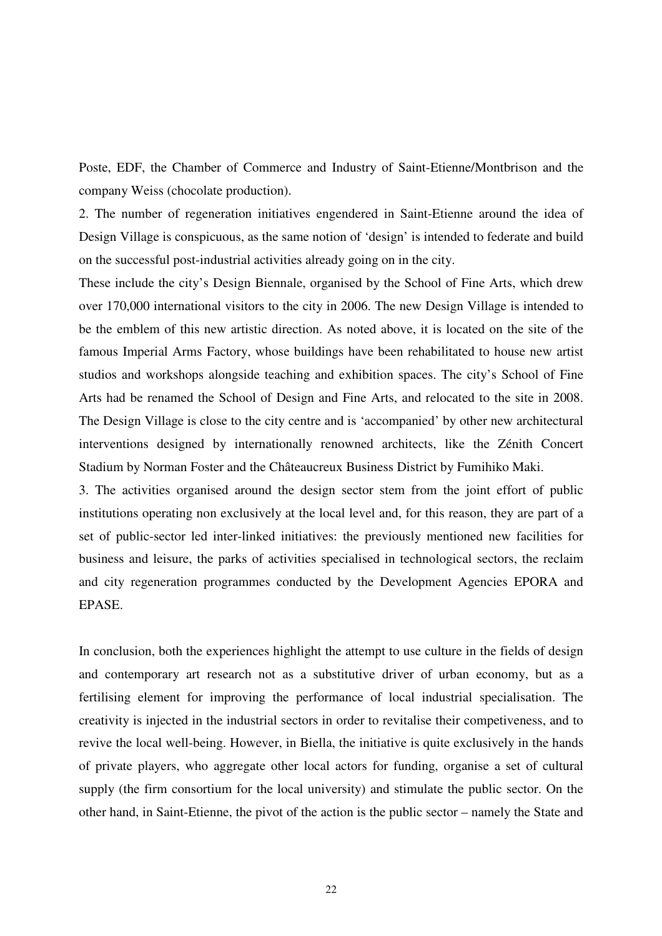Poste, EDF, the Chamber of Commerce and Industry of Saint-Etienne/Montbrison and the company Weiss (chocolate production).

2. The number of regeneration initiatives engendered in Saint-Etienne around the idea of Design Village is conspicuous, as the same notion of 'design' is intended to federate and build on the successful post-industrial activities already going on in the city.

These include the city's Design Biennale, organised by the School of Fine Arts, which drew over 170,000 international visitors to the city in 2006. The new Design Village is intended to be the emblem of this new artistic direction. As noted above, it is located on the site of the famous Imperial Arms Factory, whose buildings have been rehabilitated to house new artist studios and workshops alongside teaching and exhibition spaces. The city's School of Fine Arts had be renamed the School of Design and Fine Arts, and relocated to the site in 2008. The Design Village is close to the city centre and is 'accompanied' by other new architectural interventions designed by internationally renowned architects, like the Zénith Concert Stadium by Norman Foster and the Châteaucreux Business District by Fumihiko Maki.

3. The activities organised around the design sector stem from the joint effort of public institutions operating non exclusively at the local level and, for this reason, they are part of a set of public-sector led inter-linked initiatives: the previously mentioned new facilities for business and leisure, the parks of activities specialised in technological sectors, the reclaim and city regeneration programmes conducted by the Development Agencies EPORA and EPASE.

In conclusion, both the experiences highlight the attempt to use culture in the fields of design and contemporary art research not as a substitutive driver of urban economy, but as a fertilising element for improving the performance of local industrial specialisation. The creativity is injected in the industrial sectors in order to revitalise their competiveness, and to revive the local well-being. However, in Biella, the initiative is quite exclusively in the hands of private players, who aggregate other local actors for funding, organise a set of cultural supply (the firm consortium for the local university) and stimulate the public sector. On the other hand, in Saint-Etienne, the pivot of the action is the public sector – namely the State and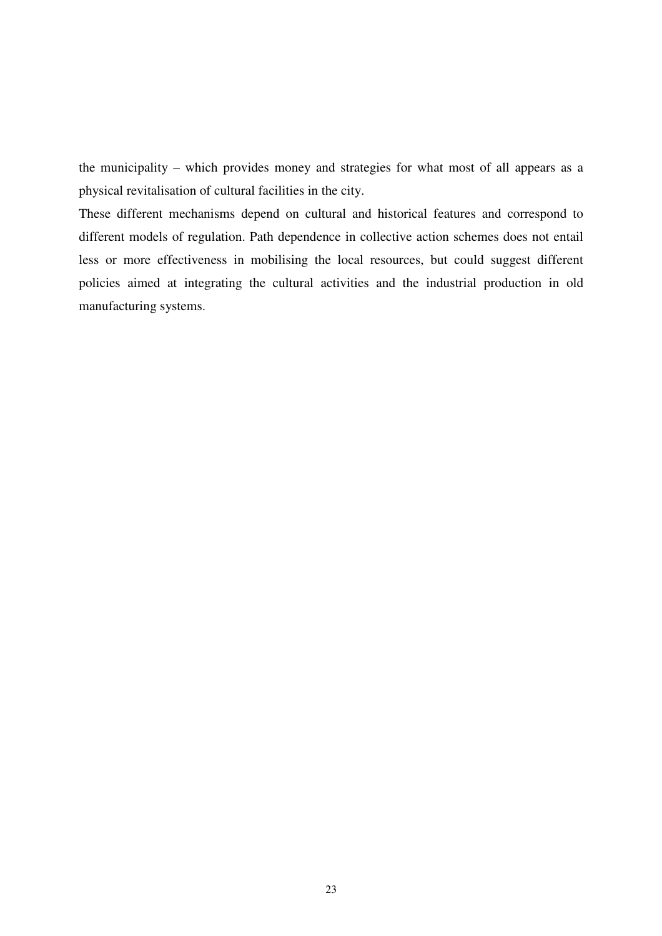the municipality – which provides money and strategies for what most of all appears as a physical revitalisation of cultural facilities in the city.

These different mechanisms depend on cultural and historical features and correspond to different models of regulation. Path dependence in collective action schemes does not entail less or more effectiveness in mobilising the local resources, but could suggest different policies aimed at integrating the cultural activities and the industrial production in old manufacturing systems.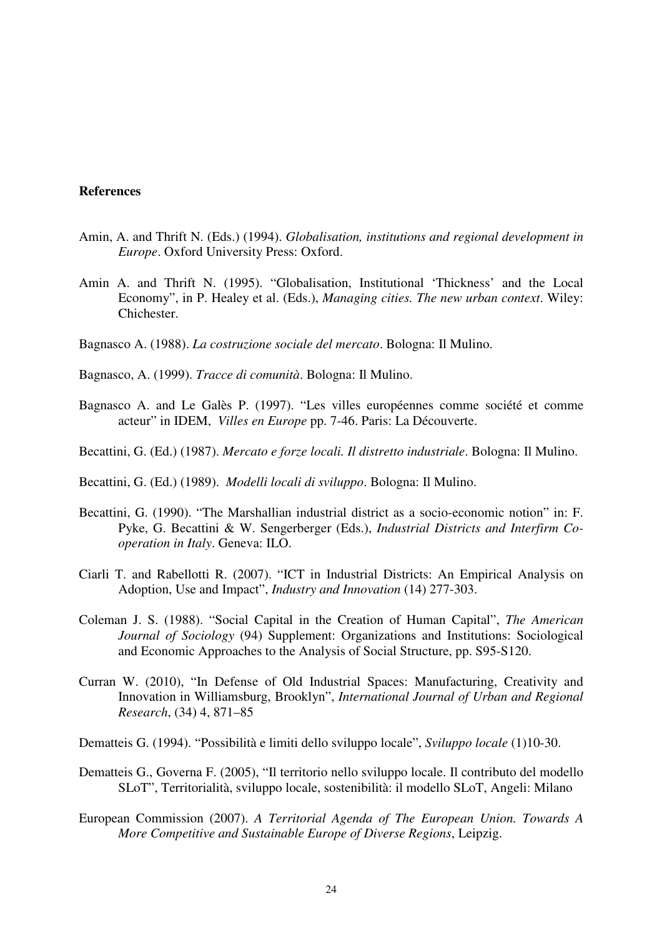## **References**

- Amin, A. and Thrift N. (Eds.) (1994). *Globalisation, institutions and regional development in Europe*. Oxford University Press: Oxford.
- Amin A. and Thrift N. (1995). "Globalisation, Institutional 'Thickness' and the Local Economy", in P. Healey et al. (Eds.), *Managing cities. The new urban context*. Wiley: Chichester.
- Bagnasco A. (1988). *La costruzione sociale del mercato*. Bologna: Il Mulino.
- Bagnasco, A. (1999). *Tracce di comunità*. Bologna: Il Mulino.
- Bagnasco A. and Le Galès P. (1997). "Les villes européennes comme société et comme acteur" in IDEM, *Villes en Europe* pp. 7-46. Paris: La Découverte.
- Becattini, G. (Ed.) (1987). *Mercato e forze locali. Il distretto industriale*. Bologna: Il Mulino.
- Becattini, G. (Ed.) (1989). *Modelli locali di sviluppo*. Bologna: Il Mulino.
- Becattini, G. (1990). "The Marshallian industrial district as a socio-economic notion" in: F. Pyke, G. Becattini & W. Sengerberger (Eds.), *Industrial Districts and Interfirm Cooperation in Italy*. Geneva: ILO.
- Ciarli T. and Rabellotti R. (2007). "ICT in Industrial Districts: An Empirical Analysis on Adoption, Use and Impact", *Industry and Innovation* (14) 277-303.
- Coleman J. S. (1988). "Social Capital in the Creation of Human Capital", *The American Journal of Sociology* (94) Supplement: Organizations and Institutions: Sociological and Economic Approaches to the Analysis of Social Structure, pp. S95-S120.
- Curran W. (2010), "In Defense of Old Industrial Spaces: Manufacturing, Creativity and Innovation in Williamsburg, Brooklyn", *International Journal of Urban and Regional Research*, (34) 4, 871–85
- Dematteis G. (1994). "Possibilità e limiti dello sviluppo locale", *Sviluppo locale* (1)10-30.
- Dematteis G., Governa F. (2005), "Il territorio nello sviluppo locale. Il contributo del modello SLoT", Territorialità, sviluppo locale, sostenibilità: il modello SLoT, Angeli: Milano
- European Commission (2007). *A Territorial Agenda of The European Union. Towards A More Competitive and Sustainable Europe of Diverse Regions*, Leipzig.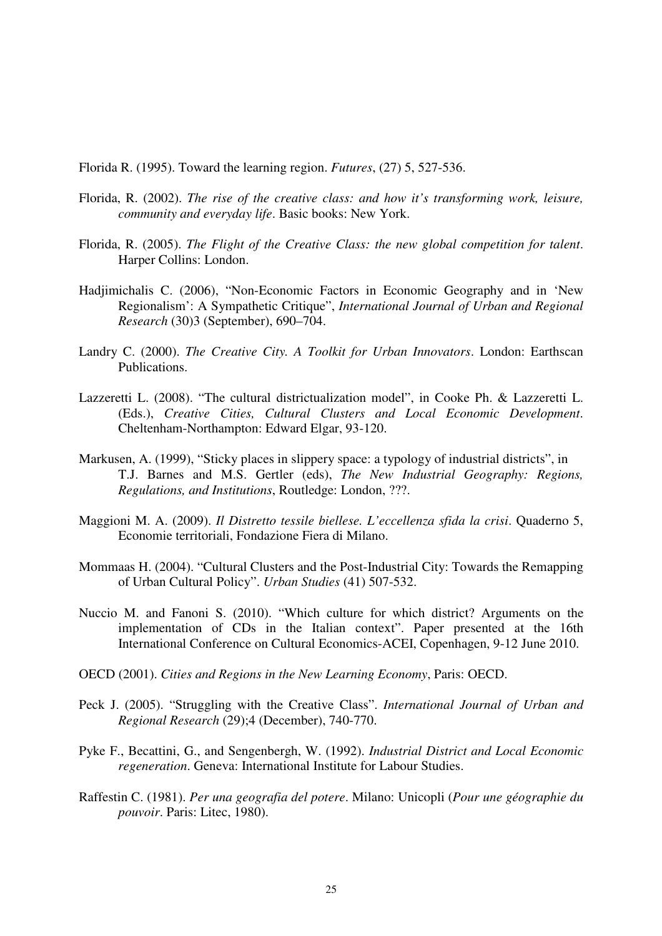Florida R. (1995). Toward the learning region. *Futures*, (27) 5, 527-536.

- Florida, R. (2002). *The rise of the creative class: and how it's transforming work, leisure, community and everyday life*. Basic books: New York.
- Florida, R. (2005). *The Flight of the Creative Class: the new global competition for talent*. Harper Collins: London.
- Hadjimichalis C. (2006), "Non-Economic Factors in Economic Geography and in 'New Regionalism': A Sympathetic Critique", *International Journal of Urban and Regional Research* (30)3 (September), 690–704.
- Landry C. (2000). *The Creative City. A Toolkit for Urban Innovators*. London: Earthscan Publications.
- Lazzeretti L. (2008). "The cultural districtualization model", in Cooke Ph. & Lazzeretti L. (Eds.), *Creative Cities, Cultural Clusters and Local Economic Development*. Cheltenham-Northampton: Edward Elgar, 93-120.
- Markusen, A. (1999), "Sticky places in slippery space: a typology of industrial districts", in T.J. Barnes and M.S. Gertler (eds), *The New Industrial Geography: Regions, Regulations, and Institutions*, Routledge: London, ???.
- Maggioni M. A. (2009). *Il Distretto tessile biellese. L'eccellenza sfida la crisi*. Quaderno 5, Economie territoriali, Fondazione Fiera di Milano.
- Mommaas H. (2004). "Cultural Clusters and the Post-Industrial City: Towards the Remapping of Urban Cultural Policy". *Urban Studies* (41) 507-532.
- Nuccio M. and Fanoni S. (2010). "Which culture for which district? Arguments on the implementation of CDs in the Italian context". Paper presented at the 16th International Conference on Cultural Economics-ACEI, Copenhagen, 9-12 June 2010.
- OECD (2001). *Cities and Regions in the New Learning Economy*, Paris: OECD.
- Peck J. (2005). "Struggling with the Creative Class". *International Journal of Urban and Regional Research* (29);4 (December), 740-770.
- Pyke F., Becattini, G., and Sengenbergh, W. (1992). *Industrial District and Local Economic regeneration*. Geneva: International Institute for Labour Studies.
- Raffestin C. (1981). *Per una geografia del potere*. Milano: Unicopli (*Pour une géographie du pouvoir*. Paris: Litec, 1980).